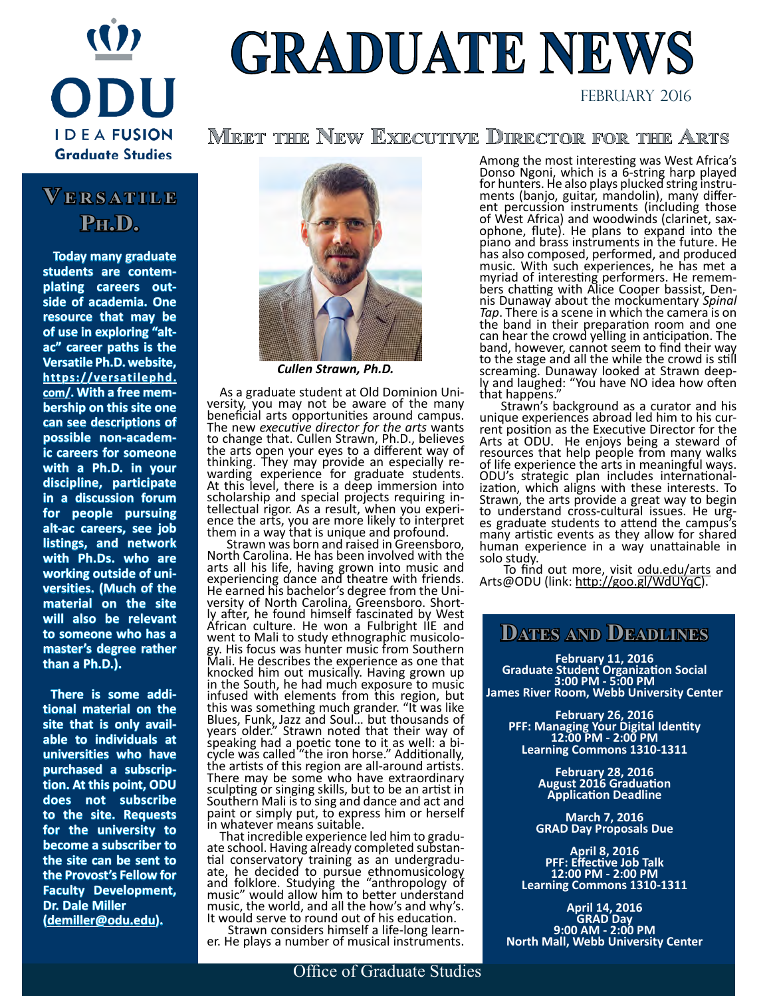

# **GRADUATE NEWS**

FEBRUARY 2016

**Meet the New Executive Director for the Arts**

## **Ve r s a t i l e Ph.D.**

 **Today many graduate students are contemplating careers outside of academia. One resource that may be of use in exploring "altac" career paths is the Versatile Ph.D. website, [https://versatilephd.](https://versatilephd.com/) [com/](https://versatilephd.com/). With a free membership on this site one can see descriptions of possible non-academic careers for someone with a Ph.D. in your discipline, participate in a discussion forum for people pursuing alt-ac careers, see job listings, and network with Ph.Ds. who are working outside of universities. (Much of the material on the site will also be relevant to someone who has a master's degree rather than a Ph.D.).**

 **There is some additional material on the site that is only available to individuals at universities who have purchased a subscription. At this point, ODU does not subscribe to the site. Requests for the university to become a subscriber to the site can be sent to the Provost's Fellow for Faculty Development, Dr. Dale Miller ([demiller@odu.edu](mailto:demiller@odu.edu)).**



*Cullen Strawn, Ph.D.*

 As a graduate student at Old Dominion Uni- versity, you may not be aware of the many beneficial arts opportunities around campus. The new *executive director for the arts* wants to change that. Cullen Strawn, Ph.D., believes the arts open your eyes to a different way of thinking. They may provide an especially re- warding experience for graduate students. At this level, there is a deep immersion into scholarship and special projects requiring in-<br>tellectual rigor. As a result, when you experience the arts, you are more likely to interpret<br>them in a way that is unique and profound.

 Strawn was born and raised in Greensboro, North Carolina. He has been involved with the arts all his life, having grown into music and experiencing dance and theatre with friends. He earned his bachelor's degree from the Uni-<br>versity of North Carolina, Greensboro. Short-<br>ly after, he found himself fascinated by West African culture. He won a Fulbright IIE and went to Mali to study ethnographic musicolo- gy. His focus was hunter music from Southern Mali. He describes the experience as one that knocked him out musically. Having grown up in the South, he had much exposure to music infused with elements from this region, but this was something much grander. "It was like Blues, Funk, Jazz and Soul… but thousands of years older." Strawn noted that their way of speaking had a poetic tone to it as well: a bi- cycle was called "the iron horse." Additionally, the artists of this region are all-around artists. There may be some who have extraordinary sculpting or singing skills, but to be an artist in Southern Mali is to sing and dance and act and paint or simply put, to express him or herself

in whatever means suitable.<br>That incredible experience led him to gradu-That incredible experience led him to gradu-<br>ate school. Having already completed substan-<br>tial conservatory training as an undergradu-<br>ate, he decided to pursue ethnomusicology and folklore. Studying the "anthropology of music" would allow him to better understand music, the world, and all the how's and why's. It would serve to round out of his education.

Strawn considers himself a life-long learn- er. He plays a number of musical instruments.

Among the most interesting was West Africa's Donso Ngoni, which is a 6-string harp played<br>for hunters. He also plays plucked string instruments (banjo, guitar, mandolin), many differ-<br>ent percussion instruments (including those of West Africa) and woodwinds (clarinet, sax- ophone, flute). He plans to expand into the piano and brass instruments in the future. He has also composed, performed, and produced music. With such experiences, he has met a myriad of interesting performers. He remem-<br>bers chatting with Alice Cooper bassist, Den-<br>nis Dunaway about the mockumentary *Spinal Tap*. There is a scene in which the camera is on the band in their preparation room and one can hear the crowd yelling in anticipation. The band, however, cannot seem to find their way to the stage and all the while the crowd is still screaming. Dunaway looked at Strawn deep- ly and laughed: "You have NO idea how often that happens."

 Strawn's background as a curator and his unique experiences abroad led him to his current position as the Executive Director for the Arts at ODU. He enjoys being a steward of resources that help people from many walks of life experience the arts in meaningful ways. ODU's strategic plan includes international- ization, which aligns with these interests. To Strawn, the arts provide a great way to begin to understand cross-cultural issues. He urg- es graduate students to attend the campus's many artistic events as they allow for shared human experience in a way unattainable in solo study.

To find out more, visit [odu.edu/arts](http://odu.edu/arts) and Arts@ODU (link: <u>http://goo.gl/WdUYqC)</u>.

### **Dates and Deadlines**

**February 11, 2016 Graduate Student Organization Social 3:00 PM - 5:00 PM James River Room, Webb University Center**

**February 26, 2016 PFF: Managing Your Digital Identity 12:00 PM - 2:00 PM Learning Commons 1310-1311**

> **February 28, 2016 August 2016 Graduation Application Deadline**

**March 7, 2016 GRAD Day Proposals Due**

**April 8, 2016 PFF: Effective Job Talk 12:00 PM - 2:00 PM Learning Commons 1310-1311**

**April 14, 2016 GRAD Day 9:00 AM - 2:00 PM North Mall, Webb University Center**